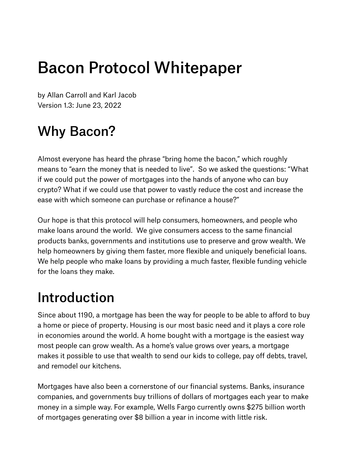# Bacon Protocol Whitepaper

by Allan Carroll and Karl Jacob Version 1.3: June 23, 2022

## Why Bacon?

Almost everyone has heard the phrase "bring home the bacon," which roughly means to "earn the money that is needed to live". So we asked the questions: "What if we could put the power of mortgages into the hands of anyone who can buy crypto? What if we could use that power to vastly reduce the cost and increase the ease with which someone can purchase or refinance a house?"

Our hope is that this protocol will help consumers, homeowners, and people who make loans around the world. We give consumers access to the same financial products banks, governments and institutions use to preserve and grow wealth. We help homeowners by giving them faster, more flexible and uniquely beneficial loans. We help people who make loans by providing a much faster, flexible funding vehicle for the loans they make.

### Introduction

Since about 1190, a mortgage has been the way for people to be able to afford to buy a home or piece of property. Housing is our most basic need and it plays a core role in economies around the world. A home bought with a mortgage is the easiest way most people can grow wealth. As a home's value grows over years, a mortgage makes it possible to use that wealth to send our kids to college, pay off debts, travel, and remodel our kitchens.

Mortgages have also been a cornerstone of our financial systems. Banks, insurance companies, and governments buy trillions of dollars of mortgages each year to make money in a simple way. For example, Wells Fargo currently owns \$275 billion worth of mortgages generating over \$8 billion a year in income with little risk.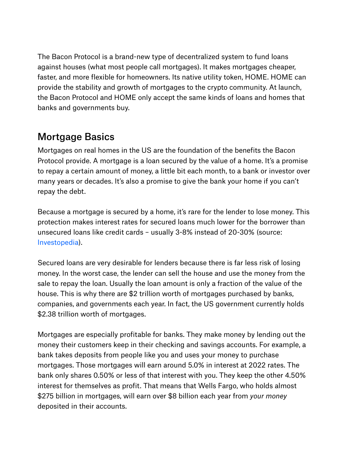The Bacon Protocol is a brand-new type of decentralized system to fund loans against houses (what most people call mortgages). It makes mortgages cheaper, faster, and more flexible for homeowners. Its native utility token, HOME. HOME can provide the stability and growth of mortgages to the crypto community. At launch, the Bacon Protocol and HOME only accept the same kinds of loans and homes that banks and governments buy.

#### Mortgage Basics

Mortgages on real homes in the US are the foundation of the benefits the Bacon Protocol provide. A mortgage is a loan secured by the value of a home. It's a promise to repay a certain amount of money, a little bit each month, to a bank or investor over many years or decades. It's also a promise to give the bank your home if you can't repay the debt.

Because a mortgage is secured by a home, it's rare for the lender to lose money. This protection makes interest rates for secured loans much lower for the borrower than unsecured loans like credit cards – usually 3-8% instead of 20-30% (source: . Investopedia)

Secured loans are very desirable for lenders because there is far less risk of losing money. In the worst case, the lender can sell the house and use the money from the sale to repay the loan. Usually the loan amount is only a fraction of the value of the house. This is why there are \$2 trillion worth of mortgages purchased by banks, companies, and governments each year. In fact, the US government currently holds \$2.38 trillion worth of mortgages.

Mortgages are especially profitable for banks. They make money by lending out the money their customers keep in their checking and savings accounts. For example, a bank takes deposits from people like you and uses your money to purchase mortgages. Those mortgages will earn around 5.0% in interest at 2022 rates. The bank only shares 0.50% or less of that interest with you. They keep the other 4.50% interest for themselves as profit. That means that Wells Fargo, who holds almost \$275 billion in mortgages, will earn over \$8 billion each year from *your money* deposited in their accounts.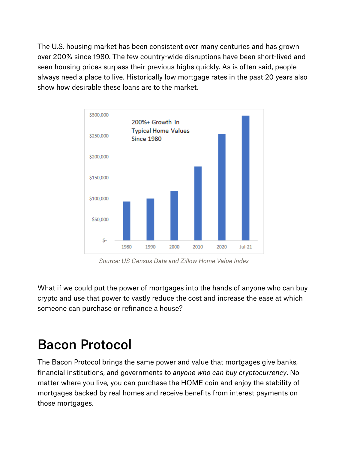The U.S. housing market has been consistent over many centuries and has grown over 200% since 1980. The few country-wide disruptions have been short-lived and seen housing prices surpass their previous highs quickly. As is often said, people always need a place to live. Historically low mortgage rates in the past 20 years also show how desirable these loans are to the market.



*Source: US Census Data and Zillow Home Value Index*

What if we could put the power of mortgages into the hands of anyone who can buy crypto and use that power to vastly reduce the cost and increase the ease at which someone can purchase or refinance a house?

### Bacon Protocol

The Bacon Protocol brings the same power and value that mortgages give banks, financial institutions, and governments to *anyone who can buy cryptocurrency*. No matter where you live, you can purchase the HOME coin and enjoy the stability of mortgages backed by real homes and receive benefits from interest payments on those mortgages.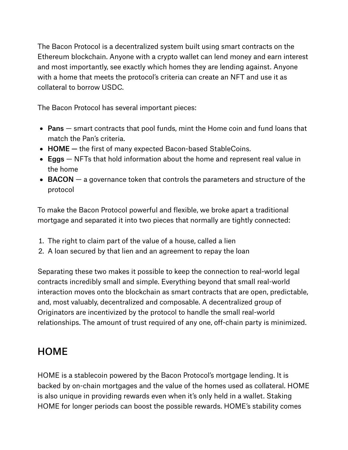The Bacon Protocol is a decentralized system built using smart contracts on the Ethereum blockchain. Anyone with a crypto wallet can lend money and earn interest and most importantly, see exactly which homes they are lending against. Anyone with a home that meets the protocol's criteria can create an NFT and use it as collateral to borrow USDC.

The Bacon Protocol has several important pieces:

- Pans smart contracts that pool funds, mint the Home coin and fund loans that match the Pan's criteria.
- HOME the first of many expected Bacon-based StableCoins.
- Eggs NFTs that hold information about the home and represent real value in the home
- BACON  $-$  a governance token that controls the parameters and structure of the protocol

To make the Bacon Protocol powerful and flexible, we broke apart a traditional mortgage and separated it into two pieces that normally are tightly connected:

- . The right to claim part of the value of a house, called a lien
- . A loan secured by that lien and an agreement to repay the loan

contracts incredibly small and simple. Everything beyond that small real-world interaction moves onto the blockchain as smart contracts that are open, predictable, and, most valuably, decentralized and composable. A decentralized group of Originators are incentivized by the protocol to handle the small real-world relationships. The amount of trust required of any one, off-chain party is minimized. Separating these two makes it possible to keep the connection to real-world legal

### **HOME**

HOME is a stablecoin powered by the Bacon Protocol's mortgage lending. It is backed by on-chain mortgages and the value of the homes used as collateral. HOME is also unique in providing rewards even when it's only held in a wallet. Staking HOME for longer periods can boost the possible rewards. HOME's stability comes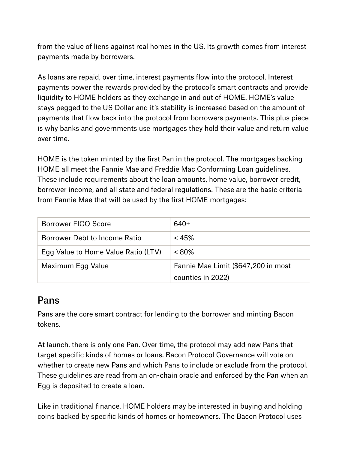from the value of liens against real homes in the US. Its growth comes from interest payments made by borrowers.

As loans are repaid, over time, interest payments flow into the protocol. Interest payments power the rewards provided by the protocol's smart contracts and provide liquidity to HOME holders as they exchange in and out of HOME. HOME's value stays pegged to the US Dollar and it's stability is increased based on the amount of payments that flow back into the protocol from borrowers payments. This plus piece is why banks and governments use mortgages they hold their value and return value over time.

HOME is the token minted by the first Pan in the protocol. The mortgages backing HOME all meet the Fannie Mae and Freddie Mac Conforming Loan guidelines. These include requirements about the loan amounts, home value, borrower credit, borrower income, and all state and federal regulations. These are the basic criteria from Fannie Mae that will be used by the first HOME mortgages:

| Borrower FICO Score                 | 640+                                |
|-------------------------------------|-------------------------------------|
| Borrower Debt to Income Ratio       | $< 45\%$                            |
| Egg Value to Home Value Ratio (LTV) | $< 80\%$                            |
| Maximum Egg Value                   | Fannie Mae Limit (\$647,200 in most |
|                                     | counties in 2022)                   |

#### Pans

Pans are the core smart contract for lending to the borrower and minting Bacon tokens.

At launch, there is only one Pan. Over time, the protocol may add new Pans that target specific kinds of homes or loans. Bacon Protocol Governance will vote on whether to create new Pans and which Pans to include or exclude from the protocol. These guidelines are read from an on-chain oracle and enforced by the Pan when an Egg is deposited to create a loan.

Like in traditional finance, HOME holders may be interested in buying and holding coins backed by specific kinds of homes or homeowners. The Bacon Protocol uses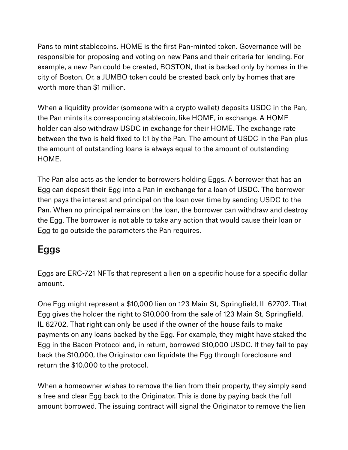Pans to mint stablecoins. HOME is the first Pan-minted token. Governance will be responsible for proposing and voting on new Pans and their criteria for lending. For example, a new Pan could be created, BOSTON, that is backed only by homes in the city of Boston. Or, a JUMBO token could be created back only by homes that are worth more than \$1 million.

When a liquidity provider (someone with a crypto wallet) deposits USDC in the Pan, the Pan mints its corresponding stablecoin, like HOME, in exchange. A HOME holder can also withdraw USDC in exchange for their HOME. The exchange rate between the two is held fixed to 1:1 by the Pan. The amount of USDC in the Pan plus the amount of outstanding loans is always equal to the amount of outstanding HOME.

The Pan also acts as the lender to borrowers holding Eggs. A borrower that has an Egg can deposit their Egg into a Pan in exchange for a loan of USDC. The borrower then pays the interest and principal on the loan over time by sending USDC to the Pan. When no principal remains on the loan, the borrower can withdraw and destroy the Egg. The borrower is not able to take any action that would cause their loan or Egg to go outside the parameters the Pan requires.

#### Eggs

Eggs are ERC-721 NFTs that represent a lien on a specific house for a specific dollar amount.

One Egg might represent a \$10,000 lien on 123 Main St, Springfield, IL 62702. That Egg gives the holder the right to \$10,000 from the sale of 123 Main St, Springfield, IL 62702. That right can only be used if the owner of the house fails to make payments on any loans backed by the Egg. For example, they might have staked the Egg in the Bacon Protocol and, in return, borrowed \$10,000 USDC. If they fail to pay back the \$10,000, the Originator can liquidate the Egg through foreclosure and return the \$10,000 to the protocol.

When a homeowner wishes to remove the lien from their property, they simply send a free and clear Egg back to the Originator. This is done by paying back the full amount borrowed. The issuing contract will signal the Originator to remove the lien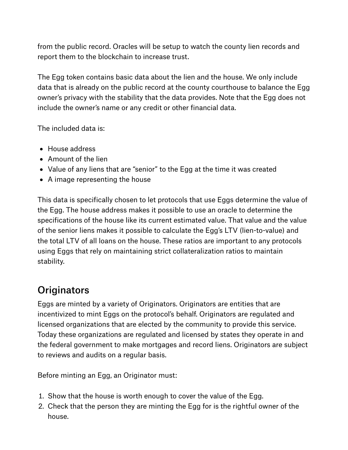from the public record. Oracles will be setup to watch the county lien records and report them to the blockchain to increase trust.

The Egg token contains basic data about the lien and the house. We only include data that is already on the public record at the county courthouse to balance the Egg owner's privacy with the stability that the data provides. Note that the Egg does not include the owner's name or any credit or other financial data.

The included data is:

- House address
- Amount of the lien
- Value of any liens that are "senior" to the Egg at the time it was created
- A image representing the house

This data is specifically chosen to let protocols that use Eggs determine the value of the Egg. The house address makes it possible to use an oracle to determine the specifications of the house like its current estimated value. That value and the value of the senior liens makes it possible to calculate the Egg's LTV (lien-to-value) and the total LTV of all loans on the house. These ratios are important to any protocols using Eggs that rely on maintaining strict collateralization ratios to maintain stability.

#### **Originators**

Eggs are minted by a variety of Originators. Originators are entities that are incentivized to mint Eggs on the protocol's behalf. Originators are regulated and licensed organizations that are elected by the community to provide this service. Today these organizations are regulated and licensed by states they operate in and the federal government to make mortgages and record liens. Originators are subject to reviews and audits on a regular basis.

Before minting an Egg, an Originator must:

- . Show that the house is worth enough to cover the value of the Egg.
- . Check that the person they are minting the Egg for is the rightful owner of the house.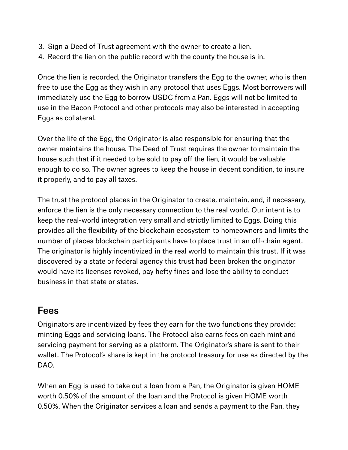- . Sign a Deed of Trust agreement with the owner to create a lien.
- . Record the lien on the public record with the county the house is in.

Once the lien is recorded, the Originator transfers the Egg to the owner, who is then free to use the Egg as they wish in any protocol that uses Eggs. Most borrowers will immediately use the Egg to borrow USDC from a Pan. Eggs will not be limited to use in the Bacon Protocol and other protocols may also be interested in accepting Eggs as collateral.

Over the life of the Egg, the Originator is also responsible for ensuring that the owner maintains the house. The Deed of Trust requires the owner to maintain the house such that if it needed to be sold to pay off the lien, it would be valuable enough to do so. The owner agrees to keep the house in decent condition, to insure it properly, and to pay all taxes.

The trust the protocol places in the Originator to create, maintain, and, if necessary, enforce the lien is the only necessary connection to the real world. Our intent is to keep the real-world integration very small and strictly limited to Eggs. Doing this provides all the flexibility of the blockchain ecosystem to homeowners and limits the number of places blockchain participants have to place trust in an off-chain agent. The originator is highly incentivized in the real world to maintain this trust. If it was discovered by a state or federal agency this trust had been broken the originator would have its licenses revoked, pay hefty fines and lose the ability to conduct business in that state or states.

#### Fees

Originators are incentivized by fees they earn for the two functions they provide: minting Eggs and servicing loans. The Protocol also earns fees on each mint and servicing payment for serving as a platform. The Originator's share is sent to their wallet. The Protocol's share is kept in the protocol treasury for use as directed by the DAO.

When an Egg is used to take out a loan from a Pan, the Originator is given HOME worth 0.50% of the amount of the loan and the Protocol is given HOME worth 0.50%. When the Originator services a loan and sends a payment to the Pan, they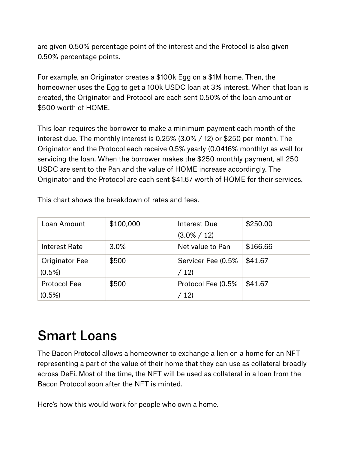are given 0.50% percentage point of the interest and the Protocol is also given 0.50% percentage points.

For example, an Originator creates a \$100k Egg on a \$1M home. Then, the homeowner uses the Egg to get a 100k USDC loan at 3% interest. When that loan is created, the Originator and Protocol are each sent 0.50% of the loan amount or \$500 worth of HOME.

This loan requires the borrower to make a minimum payment each month of the interest due. The monthly interest is 0.25% (3.0% / 12) or \$250 per month. The Originator and the Protocol each receive 0.5% yearly (0.0416% monthly) as well for servicing the loan. When the borrower makes the \$250 monthly payment, all 250 USDC are sent to the Pan and the value of HOME increase accordingly. The Originator and the Protocol are each sent \$41.67 worth of HOME for their services.

|  | This chart shows the breakdown of rates and fees. |  |  |  |  |  |  |  |
|--|---------------------------------------------------|--|--|--|--|--|--|--|
|--|---------------------------------------------------|--|--|--|--|--|--|--|

| Loan Amount           | \$100,000 | Interest Due       | \$250.00 |
|-----------------------|-----------|--------------------|----------|
|                       |           | $(3.0\% / 12)$     |          |
| Interest Rate         | 3.0%      | Net value to Pan   | \$166.66 |
| <b>Originator Fee</b> | \$500     | Servicer Fee (0.5% | \$41.67  |
| (0.5%)                |           | /12)               |          |
| <b>Protocol Fee</b>   | \$500     | Protocol Fee (0.5% | \$41.67  |
| $(0.5\%)$             |           | /12)               |          |

### Smart Loans

The Bacon Protocol allows a homeowner to exchange a lien on a home for an NFT representing a part of the value of their home that they can use as collateral broadly across DeFi. Most of the time, the NFT will be used as collateral in a loan from the Bacon Protocol soon after the NFT is minted.

Here's how this would work for people who own a home.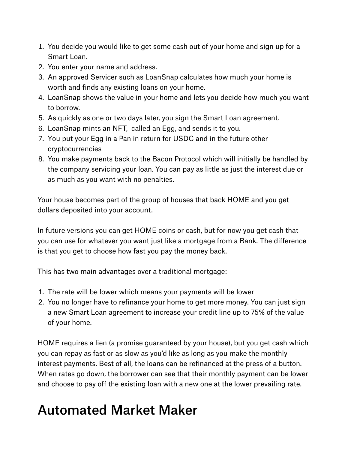- . You decide you would like to get some cash out of your home and sign up for a Smart Loan.
- . You enter your name and address.
- 3. An approved Servicer such as LoanSnap calculates how much your home is worth and finds any existing loans on your home.
- . LoanSnap shows the value in your home and lets you decide how much you want to borrow.
- . As quickly as one or two days later, you sign the Smart Loan agreement.
- . LoanSnap mints an NFT, called an Egg, and sends it to you.
- . You put your Egg in a Pan in return for USDC and in the future other cryptocurrencies
- . You make payments back to the Bacon Protocol which will initially be handled by the company servicing your loan. You can pay as little as just the interest due or as much as you want with no penalties.

Your house becomes part of the group of houses that back HOME and you get dollars deposited into your account.

In future versions you can get HOME coins or cash, but for now you get cash that you can use for whatever you want just like a mortgage from a Bank. The difference is that you get to choose how fast you pay the money back.

This has two main advantages over a traditional mortgage:

- . The rate will be lower which means your payments will be lower
- . You no longer have to refinance your home to get more money. You can just sign a new Smart Loan agreement to increase your credit line up to 75% of the value of your home.

HOME requires a lien (a promise guaranteed by your house), but you get cash which you can repay as fast or as slow as you'd like as long as you make the monthly interest payments. Best of all, the loans can be refinanced at the press of a button. When rates go down, the borrower can see that their monthly payment can be lower and choose to pay off the existing loan with a new one at the lower prevailing rate.

### Automated Market Maker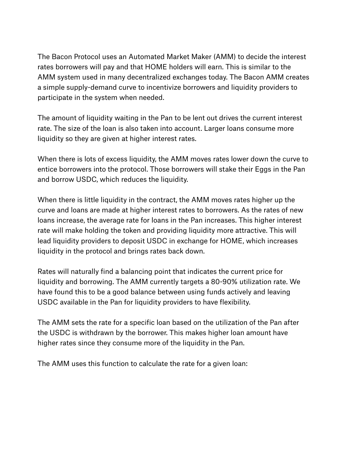The Bacon Protocol uses an Automated Market Maker (AMM) to decide the interest rates borrowers will pay and that HOME holders will earn. This is similar to the AMM system used in many decentralized exchanges today. The Bacon AMM creates a simple supply-demand curve to incentivize borrowers and liquidity providers to participate in the system when needed.

The amount of liquidity waiting in the Pan to be lent out drives the current interest rate. The size of the loan is also taken into account. Larger loans consume more liquidity so they are given at higher interest rates.

When there is lots of excess liquidity, the AMM moves rates lower down the curve to entice borrowers into the protocol. Those borrowers will stake their Eggs in the Pan and borrow USDC, which reduces the liquidity.

When there is little liquidity in the contract, the AMM moves rates higher up the curve and loans are made at higher interest rates to borrowers. As the rates of new loans increase, the average rate for loans in the Pan increases. This higher interest rate will make holding the token and providing liquidity more attractive. This will lead liquidity providers to deposit USDC in exchange for HOME, which increases liquidity in the protocol and brings rates back down.

Rates will naturally find a balancing point that indicates the current price for liquidity and borrowing. The AMM currently targets a 80-90% utilization rate. We have found this to be a good balance between using funds actively and leaving USDC available in the Pan for liquidity providers to have flexibility.

The AMM sets the rate for a specific loan based on the utilization of the Pan after the USDC is withdrawn by the borrower. This makes higher loan amount have higher rates since they consume more of the liquidity in the Pan.

The AMM uses this function to calculate the rate for a given loan: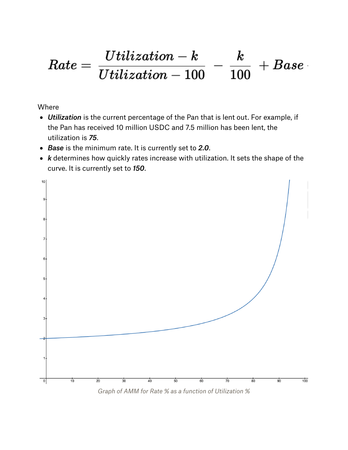#### $\frac{Utilization - k}{Utilization - 100}$  –  $\bm{k}$  $Rate =$  ${}\vdash Base$ 100

Where

- *Utilization* is the current percentage of the Pan that is lent out. For example, if the Pan has received 10 million USDC and 7.5 million has been lent, the utilization is *75*.
- *Base* is the minimum rate. It is currently set to *2.0*.
- *k* determines how quickly rates increase with utilization. It sets the shape of the curve. It is currently set to *150*.



*Graph of AMM for Rate % as a function of Utilization %*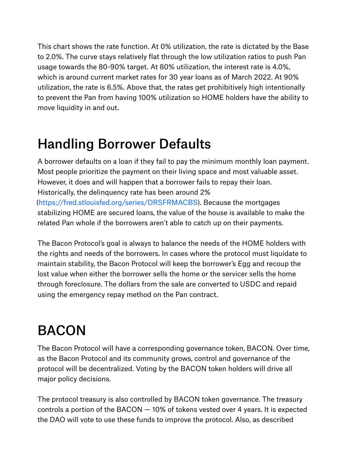This chart shows the rate function. At 0% utilization, the rate is dictated by the Base to 2.0%. The curve stays relatively flat through the low utilization ratios to push Pan usage towards the 80-90% target. At 80% utilization, the interest rate is 4.0%, which is around current market rates for 30 year loans as of March 2022. At 90% utilization, the rate is 6.5%. Above that, the rates get prohibitively high intentionally to prevent the Pan from having 100% utilization so HOME holders have the ability to move liquidity in and out.

### Handling Borrower Defaults

A borrower defaults on a loan if they fail to pay the minimum monthly loan payment. Most people prioritize the payment on their living space and most valuable asset. However, it does and will happen that a borrower fails to repay their loan. Historically, the delinquency rate has been around 2% (https://fred.stlouisfed.org/series/DRSFRMACBS). Because the mortgages stabilizing HOME are secured loans, the value of the house is available to make the related Pan whole if the borrowers aren't able to catch up on their payments.

The Bacon Protocol's goal is always to balance the needs of the HOME holders with the rights and needs of the borrowers. In cases where the protocol must liquidate to maintain stability, the Bacon Protocol will keep the borrower's Egg and recoup the lost value when either the borrower sells the home or the servicer sells the home through foreclosure. The dollars from the sale are converted to USDC and repaid using the emergency repay method on the Pan contract.

## **BACON**

The Bacon Protocol will have a corresponding governance token, BACON. Over time, as the Bacon Protocol and its community grows, control and governance of the protocol will be decentralized. Voting by the BACON token holders will drive all major policy decisions.

The protocol treasury is also controlled by BACON token governance. The treasury controls a portion of the BACON  $-$  10% of tokens vested over 4 years. It is expected the DAO will vote to use these funds to improve the protocol. Also, as described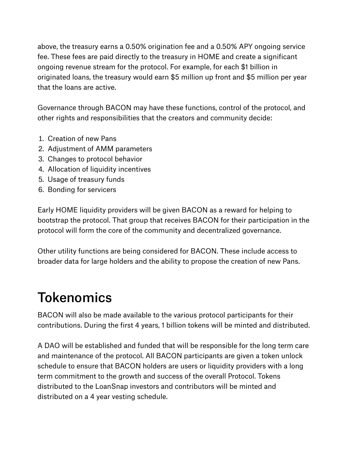above, the treasury earns a 0.50% origination fee and a 0.50% APY ongoing service fee. These fees are paid directly to the treasury in HOME and create a significant ongoing revenue stream for the protocol. For example, for each \$1 billion in originated loans, the treasury would earn \$5 million up front and \$5 million per year that the loans are active.

Governance through BACON may have these functions, control of the protocol, and other rights and responsibilities that the creators and community decide:

- . Creation of new Pans
- . Adjustment of AMM parameters
- . Changes to protocol behavior
- . Allocation of liquidity incentives
- . Usage of treasury funds
- . Bonding for servicers

Early HOME liquidity providers will be given BACON as a reward for helping to bootstrap the protocol. That group that receives BACON for their participation in the protocol will form the core of the community and decentralized governance.

Other utility functions are being considered for BACON. These include access to broader data for large holders and the ability to propose the creation of new Pans.

### **Tokenomics**

BACON will also be made available to the various protocol participants for their contributions. During the first 4 years, 1 billion tokens will be minted and distributed.

A DAO will be established and funded that will be responsible for the long term care and maintenance of the protocol. All BACON participants are given a token unlock schedule to ensure that BACON holders are users or liquidity providers with a long term commitment to the growth and success of the overall Protocol. Tokens distributed to the LoanSnap investors and contributors will be minted and distributed on a 4 year vesting schedule.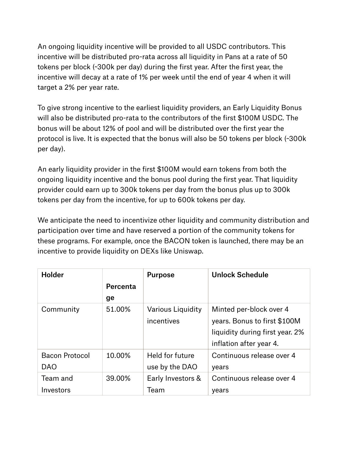An ongoing liquidity incentive will be provided to all USDC contributors. This incentive will be distributed pro-rata across all liquidity in Pans at a rate of 50 tokens per block (~300k per day) during the first year. After the first year, the incentive will decay at a rate of 1% per week until the end of year 4 when it will target a 2% per year rate.

To give strong incentive to the earliest liquidity providers, an Early Liquidity Bonus will also be distributed pro-rata to the contributors of the first \$100M USDC. The bonus will be about 12% of pool and will be distributed over the first year the protocol is live. It is expected that the bonus will also be 50 tokens per block (~300k per day).

An early liquidity provider in the first \$100M would earn tokens from both the ongoing liquidity incentive and the bonus pool during the first year. That liquidity provider could earn up to 300k tokens per day from the bonus plus up to 300k tokens per day from the incentive, for up to 600k tokens per day.

We anticipate the need to incentivize other liquidity and community distribution and participation over time and have reserved a portion of the community tokens for these programs. For example, once the BACON token is launched, there may be an incentive to provide liquidity on DEXs like Uniswap.

| <b>Holder</b>         |          | <b>Purpose</b>           | <b>Unlock Schedule</b>          |
|-----------------------|----------|--------------------------|---------------------------------|
|                       | Percenta |                          |                                 |
|                       | ge       |                          |                                 |
| Community             | 51.00%   | <b>Various Liquidity</b> | Minted per-block over 4         |
|                       |          | incentives               | years. Bonus to first \$100M    |
|                       |          |                          | liquidity during first year. 2% |
|                       |          |                          | inflation after year 4.         |
| <b>Bacon Protocol</b> | 10.00%   | Held for future          | Continuous release over 4       |
| <b>DAO</b>            |          | use by the DAO           | years                           |
| Team and              | 39.00%   | Early Investors &        | Continuous release over 4       |
| Investors             |          | Team                     | years                           |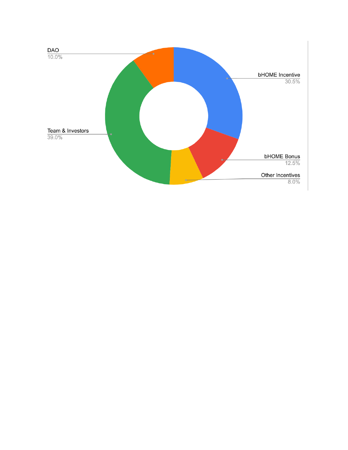